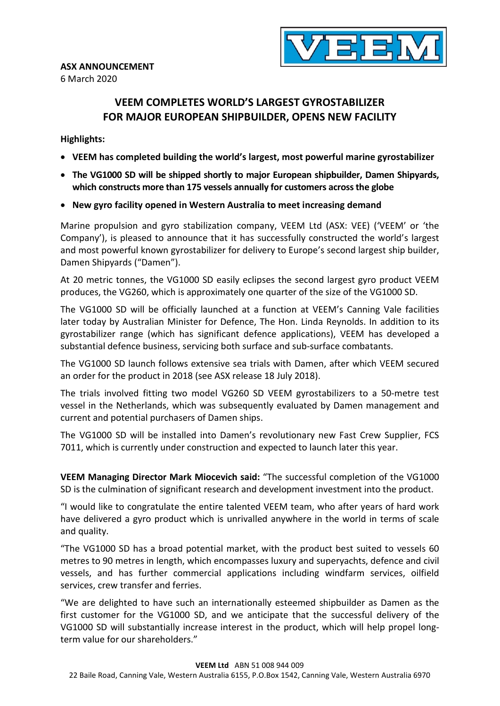6 March 2020



# VEEM COMPLETES WORLD'S LARGEST GYROSTABILIZER FOR MAJOR EUROPEAN SHIPBUILDER, OPENS NEW FACILITY

## Highlights:

- VEEM has completed building the world's largest, most powerful marine gyrostabilizer
- The VG1000 SD will be shipped shortly to major European shipbuilder, Damen Shipyards, which constructs more than 175 vessels annually for customers across the globe
- New gyro facility opened in Western Australia to meet increasing demand

Marine propulsion and gyro stabilization company, VEEM Ltd (ASX: VEE) ('VEEM' or 'the Company'), is pleased to announce that it has successfully constructed the world's largest and most powerful known gyrostabilizer for delivery to Europe's second largest ship builder, Damen Shipyards ("Damen").

At 20 metric tonnes, the VG1000 SD easily eclipses the second largest gyro product VEEM produces, the VG260, which is approximately one quarter of the size of the VG1000 SD.

The VG1000 SD will be officially launched at a function at VEEM's Canning Vale facilities later today by Australian Minister for Defence, The Hon. Linda Reynolds. In addition to its gyrostabilizer range (which has significant defence applications), VEEM has developed a substantial defence business, servicing both surface and sub-surface combatants.

The VG1000 SD launch follows extensive sea trials with Damen, after which VEEM secured an order for the product in 2018 (see ASX release 18 July 2018).

The trials involved fitting two model VG260 SD VEEM gyrostabilizers to a 50-metre test vessel in the Netherlands, which was subsequently evaluated by Damen management and current and potential purchasers of Damen ships.

The VG1000 SD will be installed into Damen's revolutionary new Fast Crew Supplier, FCS 7011, which is currently under construction and expected to launch later this year.

VEEM Managing Director Mark Miocevich said: "The successful completion of the VG1000 SD is the culmination of significant research and development investment into the product.

"I would like to congratulate the entire talented VEEM team, who after years of hard work have delivered a gyro product which is unrivalled anywhere in the world in terms of scale and quality.

"The VG1000 SD has a broad potential market, with the product best suited to vessels 60 metres to 90 metres in length, which encompasses luxury and superyachts, defence and civil vessels, and has further commercial applications including windfarm services, oilfield services, crew transfer and ferries.

"We are delighted to have such an internationally esteemed shipbuilder as Damen as the first customer for the VG1000 SD, and we anticipate that the successful delivery of the VG1000 SD will substantially increase interest in the product, which will help propel longterm value for our shareholders."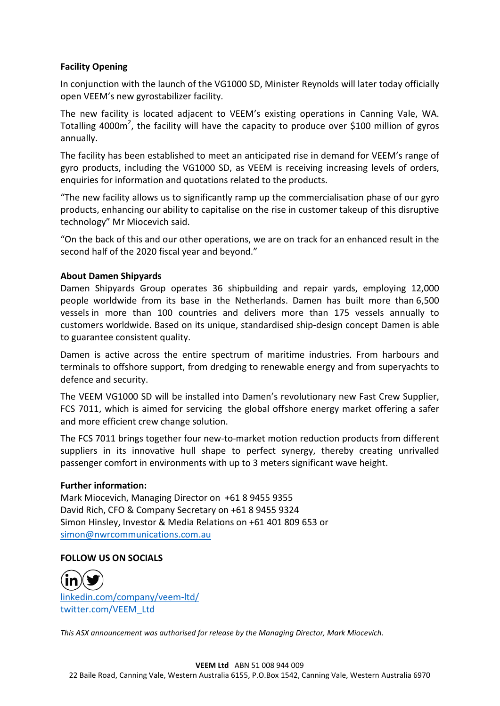## Facility Opening

In conjunction with the launch of the VG1000 SD, Minister Reynolds will later today officially open VEEM's new gyrostabilizer facility.

The new facility is located adjacent to VEEM's existing operations in Canning Vale, WA. Totalling 4000 $m^2$ , the facility will have the capacity to produce over \$100 million of gyros annually.

The facility has been established to meet an anticipated rise in demand for VEEM's range of gyro products, including the VG1000 SD, as VEEM is receiving increasing levels of orders, enquiries for information and quotations related to the products.

"The new facility allows us to significantly ramp up the commercialisation phase of our gyro products, enhancing our ability to capitalise on the rise in customer takeup of this disruptive technology" Mr Miocevich said.

"On the back of this and our other operations, we are on track for an enhanced result in the second half of the 2020 fiscal year and beyond."

## About Damen Shipyards

Damen Shipyards Group operates 36 shipbuilding and repair yards, employing 12,000 people worldwide from its base in the Netherlands. Damen has built more than 6,500 vessels in more than 100 countries and delivers more than 175 vessels annually to customers worldwide. Based on its unique, standardised ship-design concept Damen is able to guarantee consistent quality.

Damen is active across the entire spectrum of maritime industries. From harbours and terminals to offshore support, from dredging to renewable energy and from superyachts to defence and security.

The VEEM VG1000 SD will be installed into Damen's revolutionary new Fast Crew Supplier, FCS 7011, which is aimed for servicing the global offshore energy market offering a safer and more efficient crew change solution.

The FCS 7011 brings together four new-to-market motion reduction products from different suppliers in its innovative hull shape to perfect synergy, thereby creating unrivalled passenger comfort in environments with up to 3 meters significant wave height.

### Further information:

Mark Miocevich, Managing Director on +61 8 9455 9355 David Rich, CFO & Company Secretary on +61 8 9455 9324 Simon Hinsley, Investor & Media Relations on +61 401 809 653 or simon@nwrcommunications.com.au

### FOLLOW US ON SOCIALS

linkedin.com/company/veem-ltd/ twitter.com/VEEM\_Ltd

This ASX announcement was authorised for release by the Managing Director, Mark Miocevich.